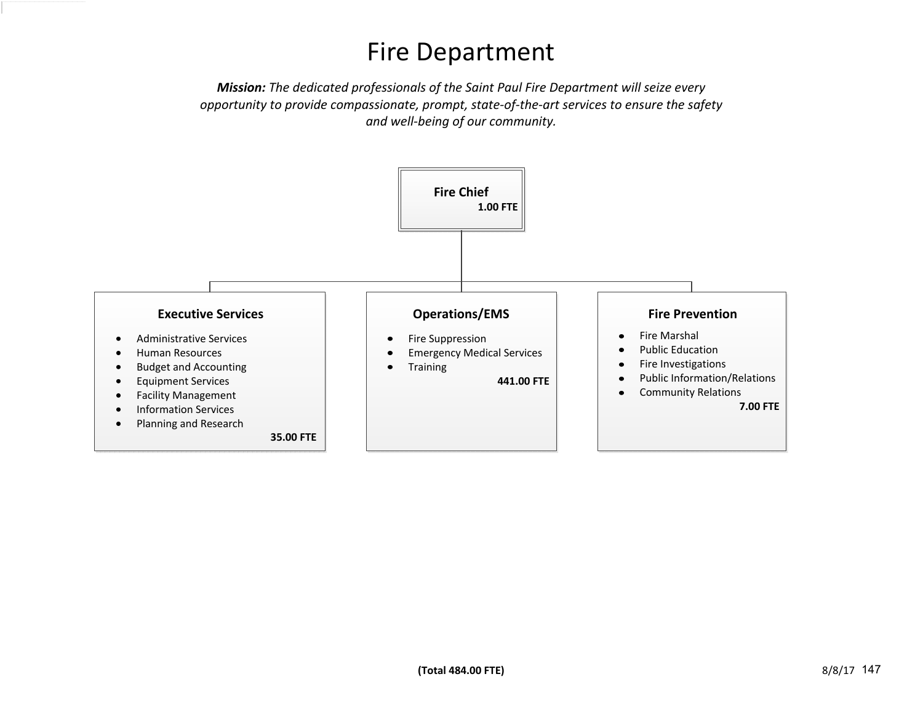## Fire Department

*Mission: The dedicated professionals of the Saint Paul Fire Department will seize every opportunity to provide compassionate, prompt, state-of-the-art services to ensure the safety and well-being of our community.*

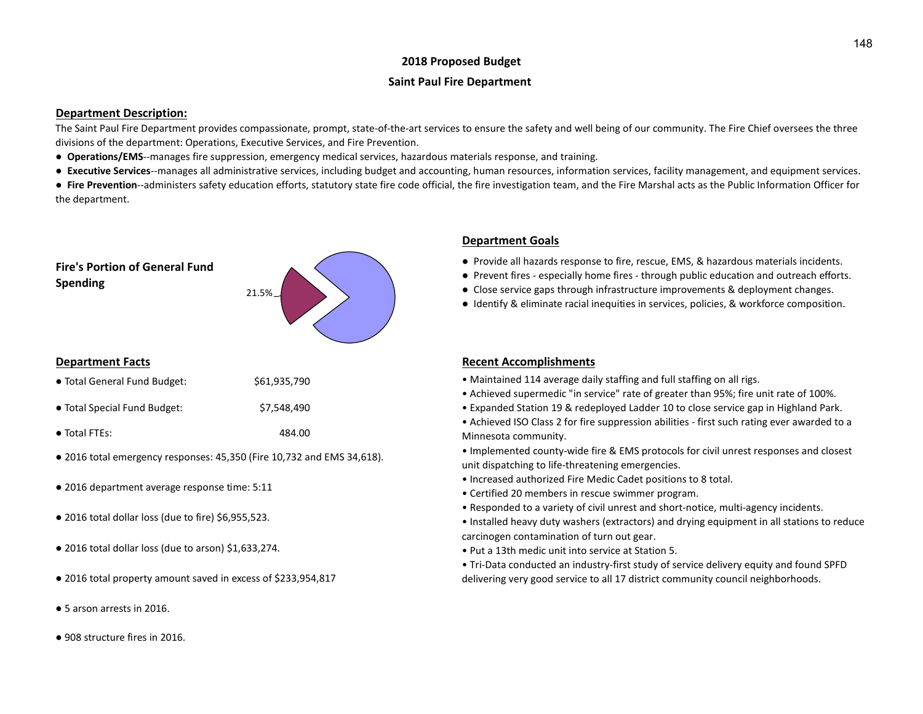## **2018 Proposed Budget**

#### **Saint Paul Fire Department**

#### **Department Description:**

The Saint Paul Fire Department provides compassionate, prompt, state-of-the-art services to ensure the safety and well being of our community. The Fire Chief oversees the three divisions of the department: Operations, Executive Services, and Fire Prevention.

- **Operations/EMS**--manages fire suppression, emergency medical services, hazardous materials response, and training.
- **Executive Services**--manages all administrative services, including budget and accounting, human resources, information services, facility management, and equipment services.

● Fire Prevention--administers safety education efforts, statutory state fire code official, the fire investigation team, and the Fire Marshal acts as the Public Information Officer for the department.



| • Total General Fund Budget: | \$61,935,790 |
|------------------------------|--------------|
|------------------------------|--------------|

| • Total Special Fund Budget: | \$7,548,490 |
|------------------------------|-------------|
|------------------------------|-------------|

- Total FTEs: 484.00
- 2016 total emergency responses: 45,350 (Fire 10,732 and EMS 34,618).
- 2016 department average response time: 5:11
- 2016 total dollar loss (due to fire) \$6,955,523.
- 2016 total dollar loss (due to arson) \$1,633,274.
- 2016 total property amount saved in excess of \$233,954,817
- 5 arson arrests in 2016.
- 908 structure fires in 2016.

## **Department Goals**

- Provide all hazards response to fire, rescue, EMS, & hazardous materials incidents.
- Prevent fires especially home fires through public education and outreach efforts.
- Close service gaps through infrastructure improvements & deployment changes.
- Identify & eliminate racial inequities in services, policies, & workforce composition.

#### **Department Facts Recent Accomplishments Recent Accomplishments**

- Maintained 114 average daily staffing and full staffing on all rigs.
- Achieved supermedic "in service" rate of greater than 95%; fire unit rate of 100%.
- Expanded Station 19 & redeployed Ladder 10 to close service gap in Highland Park.
- Achieved ISO Class 2 for fire suppression abilities first such rating ever awarded to a Minnesota community.
- Implemented county-wide fire & EMS protocols for civil unrest responses and closest unit dispatching to life-threatening emergencies.
- Increased authorized Fire Medic Cadet positions to 8 total.
- Certified 20 members in rescue swimmer program.
- Responded to a variety of civil unrest and short-notice, multi-agency incidents.
- Installed heavy duty washers (extractors) and drying equipment in all stations to reduce carcinogen contamination of turn out gear.
- Put a 13th medic unit into service at Station 5.
- Tri-Data conducted an industry-first study of service delivery equity and found SPFD delivering very good service to all 17 district community council neighborhoods.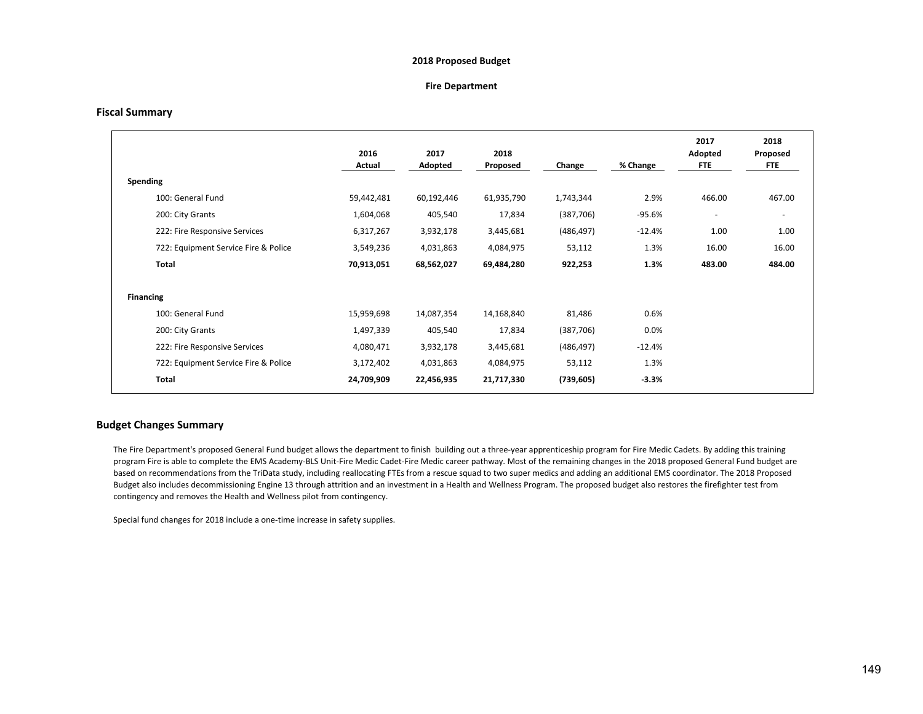#### **2018 Proposed Budget**

#### **Fire Department**

#### **Fiscal Summary**

|                                      | 2016<br>Actual | 2017<br>Adopted | 2018<br>Proposed | Change     | % Change | 2017<br>Adopted<br>FTE. | 2018<br>Proposed<br>FTE. |
|--------------------------------------|----------------|-----------------|------------------|------------|----------|-------------------------|--------------------------|
| Spending                             |                |                 |                  |            |          |                         |                          |
| 100: General Fund                    | 59,442,481     | 60,192,446      | 61,935,790       | 1,743,344  | 2.9%     | 466.00                  | 467.00                   |
| 200: City Grants                     | 1,604,068      | 405,540         | 17,834           | (387, 706) | $-95.6%$ | ۰                       | $\overline{\phantom{a}}$ |
| 222: Fire Responsive Services        | 6,317,267      | 3,932,178       | 3,445,681        | (486, 497) | $-12.4%$ | 1.00                    | 1.00                     |
| 722: Equipment Service Fire & Police | 3,549,236      | 4,031,863       | 4,084,975        | 53,112     | 1.3%     | 16.00                   | 16.00                    |
| Total                                | 70,913,051     | 68,562,027      | 69,484,280       | 922,253    | 1.3%     | 483.00                  | 484.00                   |
|                                      |                |                 |                  |            |          |                         |                          |
| <b>Financing</b>                     |                |                 |                  |            |          |                         |                          |
| 100: General Fund                    | 15,959,698     | 14,087,354      | 14,168,840       | 81,486     | 0.6%     |                         |                          |
| 200: City Grants                     | 1,497,339      | 405,540         | 17,834           | (387, 706) | 0.0%     |                         |                          |
| 222: Fire Responsive Services        | 4,080,471      | 3,932,178       | 3,445,681        | (486, 497) | $-12.4%$ |                         |                          |
| 722: Equipment Service Fire & Police | 3,172,402      | 4,031,863       | 4,084,975        | 53,112     | 1.3%     |                         |                          |
| Total                                | 24,709,909     | 22,456,935      | 21,717,330       | (739, 605) | $-3.3%$  |                         |                          |

#### **Budget Changes Summary**

The Fire Department's proposed General Fund budget allows the department to finish building out a three-year apprenticeship program for Fire Medic Cadets. By adding this training program Fire is able to complete the EMS Academy-BLS Unit-Fire Medic Cadet-Fire Medic career pathway. Most of the remaining changes in the 2018 proposed General Fund budget are based on recommendations from the TriData study, including reallocating FTEs from a rescue squad to two super medics and adding an additional EMS coordinator. The 2018 Proposed Budget also includes decommissioning Engine 13 through attrition and an investment in a Health and Wellness Program. The proposed budget also restores the firefighter test from contingency and removes the Health and Wellness pilot from contingency.

Special fund changes for 2018 include a one-time increase in safety supplies.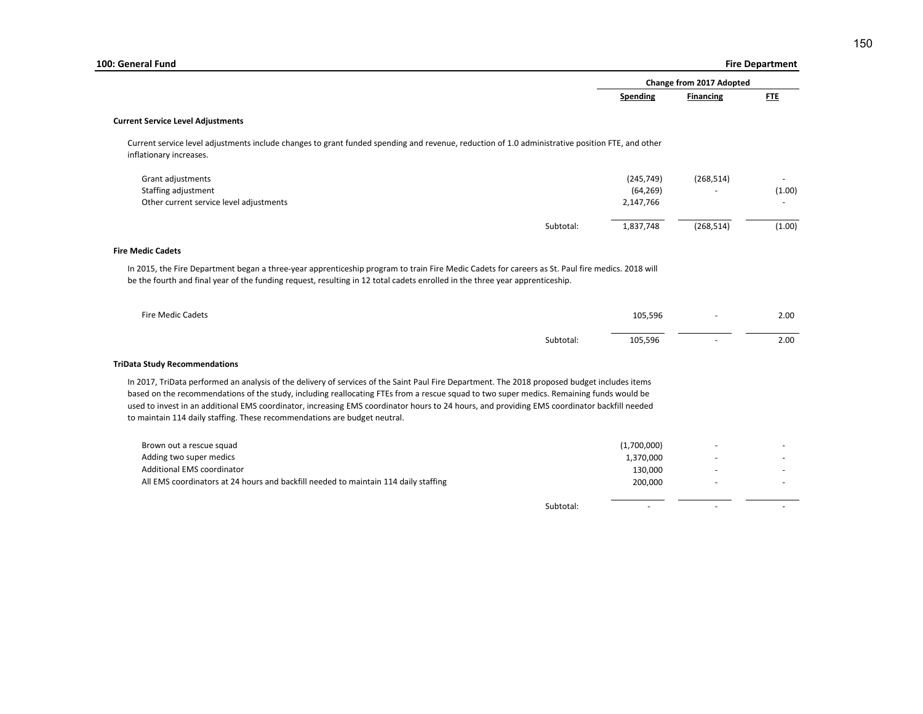|                                                                                                                                                                                                                                                                                                                                                                                                                                                                                                                        |           |             |                          | <b>Fire Department</b> |
|------------------------------------------------------------------------------------------------------------------------------------------------------------------------------------------------------------------------------------------------------------------------------------------------------------------------------------------------------------------------------------------------------------------------------------------------------------------------------------------------------------------------|-----------|-------------|--------------------------|------------------------|
|                                                                                                                                                                                                                                                                                                                                                                                                                                                                                                                        |           |             | Change from 2017 Adopted |                        |
|                                                                                                                                                                                                                                                                                                                                                                                                                                                                                                                        |           | Spending    | <b>Financing</b>         | <b>FTE</b>             |
| <b>Current Service Level Adjustments</b>                                                                                                                                                                                                                                                                                                                                                                                                                                                                               |           |             |                          |                        |
| Current service level adjustments include changes to grant funded spending and revenue, reduction of 1.0 administrative position FTE, and other<br>inflationary increases.                                                                                                                                                                                                                                                                                                                                             |           |             |                          |                        |
| Grant adjustments                                                                                                                                                                                                                                                                                                                                                                                                                                                                                                      |           | (245, 749)  | (268, 514)               |                        |
| Staffing adjustment                                                                                                                                                                                                                                                                                                                                                                                                                                                                                                    |           | (64, 269)   |                          | (1.00)                 |
| Other current service level adjustments                                                                                                                                                                                                                                                                                                                                                                                                                                                                                |           | 2,147,766   |                          |                        |
|                                                                                                                                                                                                                                                                                                                                                                                                                                                                                                                        | Subtotal: | 1,837,748   | (268, 514)               | (1.00)                 |
| <b>Fire Medic Cadets</b>                                                                                                                                                                                                                                                                                                                                                                                                                                                                                               |           |             |                          |                        |
| In 2015, the Fire Department began a three-year apprenticeship program to train Fire Medic Cadets for careers as St. Paul fire medics. 2018 will                                                                                                                                                                                                                                                                                                                                                                       |           |             |                          |                        |
| be the fourth and final year of the funding request, resulting in 12 total cadets enrolled in the three year apprenticeship.                                                                                                                                                                                                                                                                                                                                                                                           |           |             |                          |                        |
| Fire Medic Cadets                                                                                                                                                                                                                                                                                                                                                                                                                                                                                                      |           | 105,596     |                          |                        |
|                                                                                                                                                                                                                                                                                                                                                                                                                                                                                                                        | Subtotal: | 105,596     |                          |                        |
|                                                                                                                                                                                                                                                                                                                                                                                                                                                                                                                        |           |             |                          | 2.00<br>2.00           |
| In 2017, TriData performed an analysis of the delivery of services of the Saint Paul Fire Department. The 2018 proposed budget includes items<br>based on the recommendations of the study, including reallocating FTEs from a rescue squad to two super medics. Remaining funds would be<br>used to invest in an additional EMS coordinator, increasing EMS coordinator hours to 24 hours, and providing EMS coordinator backfill needed<br>to maintain 114 daily staffing. These recommendations are budget neutral. |           |             |                          |                        |
| Brown out a rescue squad                                                                                                                                                                                                                                                                                                                                                                                                                                                                                               |           | (1,700,000) |                          |                        |
| Adding two super medics                                                                                                                                                                                                                                                                                                                                                                                                                                                                                                |           | 1,370,000   |                          |                        |
| Additional EMS coordinator                                                                                                                                                                                                                                                                                                                                                                                                                                                                                             |           | 130,000     |                          |                        |
| <b>TriData Study Recommendations</b><br>All EMS coordinators at 24 hours and backfill needed to maintain 114 daily staffing                                                                                                                                                                                                                                                                                                                                                                                            |           | 200,000     |                          |                        |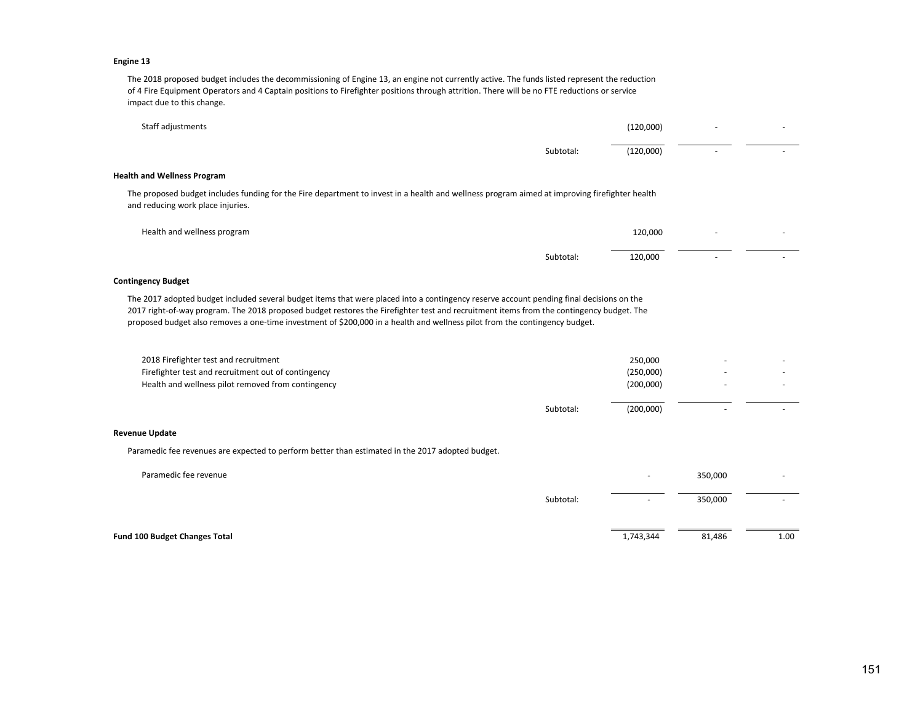#### **Engine 13**

The 2018 proposed budget includes the decommissioning of Engine 13, an engine not currently active. The funds listed represent the reduction of 4 Fire Equipment Operators and 4 Captain positions to Firefighter positions through attrition. There will be no FTE reductions or service impact due to this change.

| Staff adjustments                                                                                                                                                                  |           | (120,000) | $\overline{\phantom{0}}$ |  |
|------------------------------------------------------------------------------------------------------------------------------------------------------------------------------------|-----------|-----------|--------------------------|--|
|                                                                                                                                                                                    | Subtotal: | (120,000) | $\overline{\phantom{0}}$ |  |
| <b>Health and Wellness Program</b>                                                                                                                                                 |           |           |                          |  |
| The proposed budget includes funding for the Fire department to invest in a health and wellness program aimed at improving firefighter health<br>and reducing work place injuries. |           |           |                          |  |
| Health and wellness program                                                                                                                                                        |           | 120,000   | $\overline{\phantom{0}}$ |  |
|                                                                                                                                                                                    | Subtotal: | 120,000   | $\overline{\phantom{0}}$ |  |

#### **Contingency Budget**

The 2017 adopted budget included several budget items that were placed into a contingency reserve account pending final decisions on the 2017 right-of-way program. The 2018 proposed budget restores the Firefighter test and recruitment items from the contingency budget. The proposed budget also removes a one-time investment of \$200,000 in a health and wellness pilot from the contingency budget.

| 2018 Firefighter test and recruitment<br>Firefighter test and recruitment out of contingency |           | 250,000<br>(250,000)   |  |
|----------------------------------------------------------------------------------------------|-----------|------------------------|--|
| Health and wellness pilot removed from contingency                                           | Subtotal: | (200,000)<br>(200,000) |  |

#### **Revenue Update**

Paramedic fee revenues are expected to perform better than estimated in the 2017 adopted budget.

| Paramedic fee revenue         |           | $\overline{\phantom{a}}$ | 350,000 |                          |
|-------------------------------|-----------|--------------------------|---------|--------------------------|
|                               | Subtotal: | $\sim$                   | 350,000 | $\overline{\phantom{a}}$ |
| Fund 100 Budget Changes Total |           | 1,743,344                | 81,486  | 1.00                     |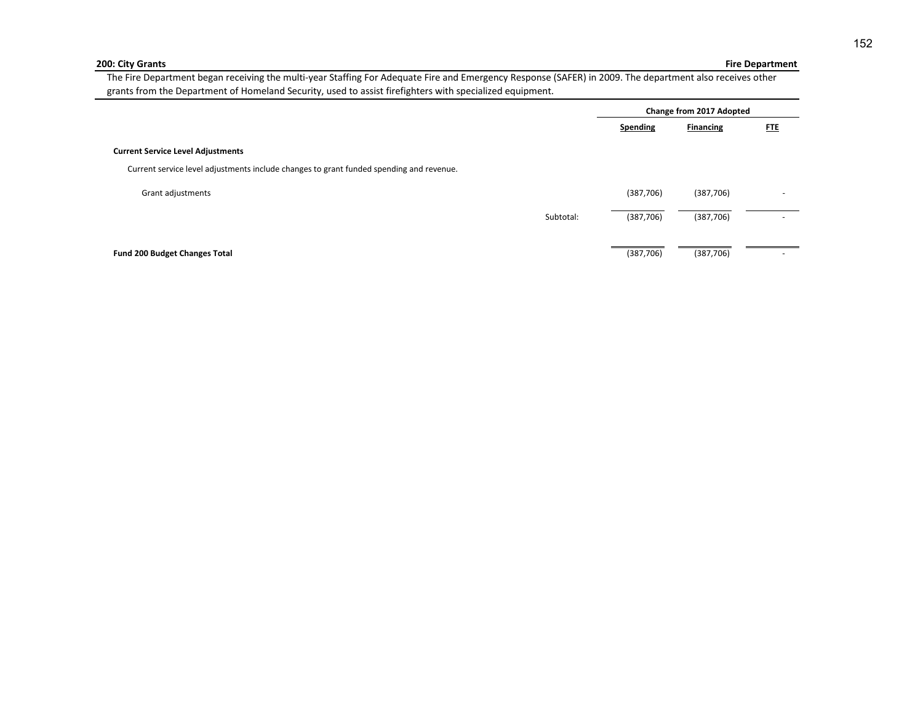#### **200: City Grants**

## **Fire Department**

The Fire Department began receiving the multi-year Staffing For Adequate Fire and Emergency Response (SAFER) in 2009. The department also receives other grants from the Department of Homeland Security, used to assist firefighters with specialized equipment.

|                                                                                         |           |                 | Change from 2017 Adopted |                          |  |
|-----------------------------------------------------------------------------------------|-----------|-----------------|--------------------------|--------------------------|--|
|                                                                                         |           | <b>Spending</b> | <b>Financing</b>         | <u>FTE</u>               |  |
| <b>Current Service Level Adjustments</b>                                                |           |                 |                          |                          |  |
| Current service level adjustments include changes to grant funded spending and revenue. |           |                 |                          |                          |  |
| Grant adjustments                                                                       |           | (387, 706)      | (387, 706)               | $\overline{\phantom{a}}$ |  |
|                                                                                         | Subtotal: | (387, 706)      | (387, 706)               | -                        |  |
|                                                                                         |           |                 |                          |                          |  |
| <b>Fund 200 Budget Changes Total</b>                                                    |           | (387, 706)      | (387, 706)               |                          |  |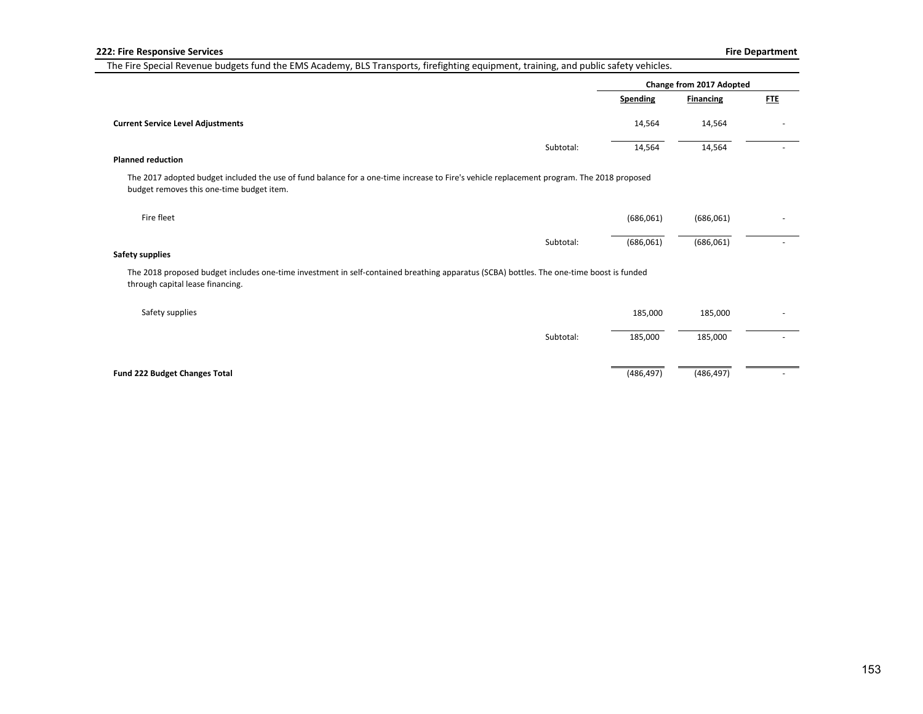|                                                                                                                                                                                        |           | Change from 2017 Adopted |                  |            |
|----------------------------------------------------------------------------------------------------------------------------------------------------------------------------------------|-----------|--------------------------|------------------|------------|
|                                                                                                                                                                                        |           | <b>Spending</b>          | <b>Financing</b> | <b>FTE</b> |
| <b>Current Service Level Adjustments</b>                                                                                                                                               |           | 14,564                   | 14,564           |            |
|                                                                                                                                                                                        | Subtotal: | 14,564                   | 14,564           |            |
| <b>Planned reduction</b>                                                                                                                                                               |           |                          |                  |            |
| The 2017 adopted budget included the use of fund balance for a one-time increase to Fire's vehicle replacement program. The 2018 proposed<br>budget removes this one-time budget item. |           |                          |                  |            |
| Fire fleet                                                                                                                                                                             |           | (686,061)                | (686,061)        |            |
|                                                                                                                                                                                        | Subtotal: | (686,061)                | (686,061)        |            |
| Safety supplies                                                                                                                                                                        |           |                          |                  |            |
| The 2018 proposed budget includes one-time investment in self-contained breathing apparatus (SCBA) bottles. The one-time boost is funded<br>through capital lease financing.           |           |                          |                  |            |
| Safety supplies                                                                                                                                                                        |           | 185,000                  | 185,000          |            |
|                                                                                                                                                                                        | Subtotal: | 185,000                  | 185,000          |            |
| Fund 222 Budget Changes Total                                                                                                                                                          |           | (486, 497)               | (486, 497)       |            |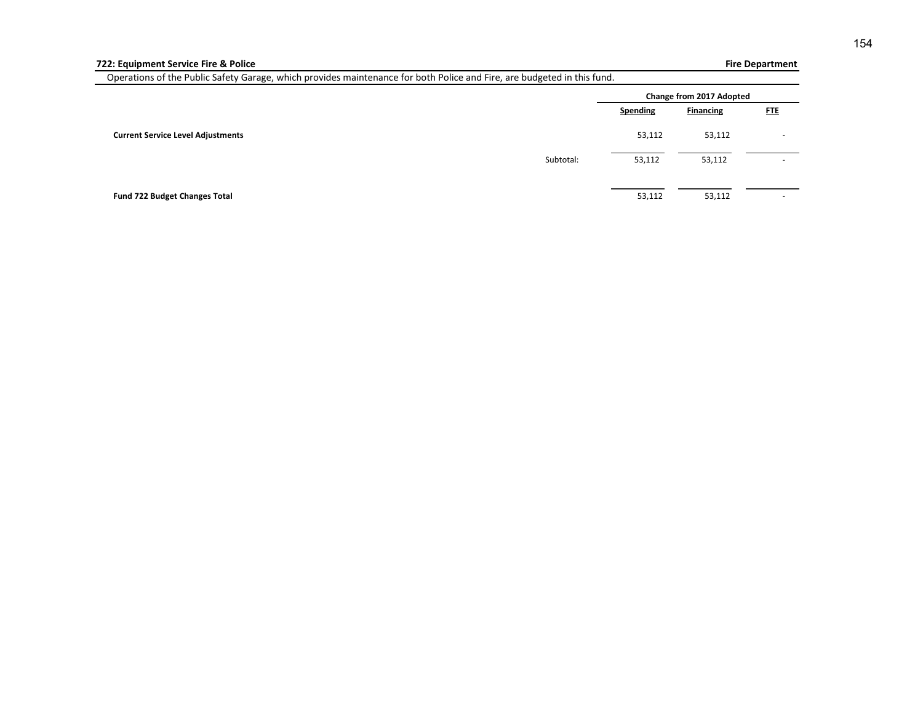## **Fire Department**

Operations of the Public Safety Garage, which provides maintenance for both Police and Fire, are budgeted in this fund.

|                                          |                 | Change from 2017 Adopted |            |
|------------------------------------------|-----------------|--------------------------|------------|
|                                          | <b>Spending</b> | <b>Financing</b>         | <b>FTE</b> |
| <b>Current Service Level Adjustments</b> | 53,112          | 53,112                   |            |
| Subtotal:                                | 53,112          | 53,112                   | $\sim$     |
|                                          |                 |                          |            |
| Fund 722 Budget Changes Total            | 53,112          | 53,112                   | -          |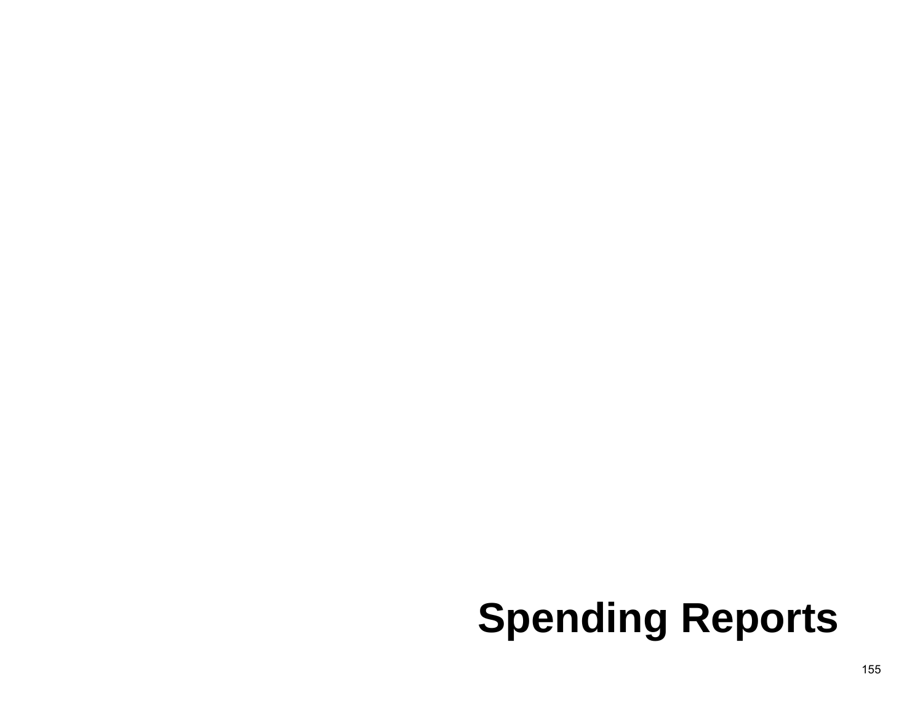# **Spending Reports**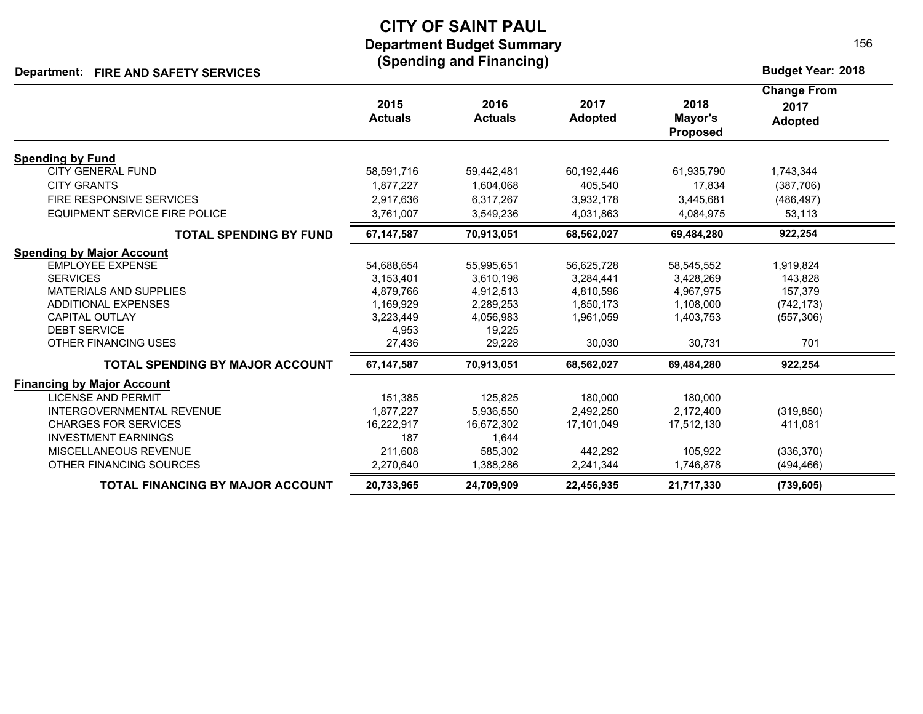## **CITY OF SAINT PAUL Department Budget Summary (Spending and Financing)**

## **Department: Budget Year: 2018 FIRE AND SAFETY SERVICES**

|                                         |                        |                        |                        |                                    | <b>Change From</b>     |  |
|-----------------------------------------|------------------------|------------------------|------------------------|------------------------------------|------------------------|--|
|                                         | 2015<br><b>Actuals</b> | 2016<br><b>Actuals</b> | 2017<br><b>Adopted</b> | 2018<br>Mayor's<br><b>Proposed</b> | 2017<br><b>Adopted</b> |  |
| <b>Spending by Fund</b>                 |                        |                        |                        |                                    |                        |  |
| <b>CITY GENERAL FUND</b>                | 58,591,716             | 59,442,481             | 60,192,446             | 61,935,790                         | 1,743,344              |  |
| <b>CITY GRANTS</b>                      | 1,877,227              | 1,604,068              | 405,540                | 17,834                             | (387,706)              |  |
| FIRE RESPONSIVE SERVICES                | 2,917,636              | 6,317,267              | 3,932,178              | 3,445,681                          | (486, 497)             |  |
| EQUIPMENT SERVICE FIRE POLICE           | 3,761,007              | 3,549,236              | 4,031,863              | 4,084,975                          | 53,113                 |  |
| <b>TOTAL SPENDING BY FUND</b>           | 67, 147, 587           | 70,913,051             | 68,562,027             | 69,484,280                         | 922,254                |  |
| <b>Spending by Major Account</b>        |                        |                        |                        |                                    |                        |  |
| <b>EMPLOYEE EXPENSE</b>                 | 54,688,654             | 55,995,651             | 56,625,728             | 58,545,552                         | 1,919,824              |  |
| <b>SERVICES</b>                         | 3,153,401              | 3,610,198              | 3,284,441              | 3,428,269                          | 143,828                |  |
| <b>MATERIALS AND SUPPLIES</b>           | 4.879.766              | 4,912,513              | 4,810,596              | 4.967.975                          | 157,379                |  |
| <b>ADDITIONAL EXPENSES</b>              | 1,169,929              | 2,289,253              | 1,850,173              | 1,108,000                          | (742, 173)             |  |
| <b>CAPITAL OUTLAY</b>                   | 3,223,449              | 4,056,983              | 1,961,059              | 1,403,753                          | (557, 306)             |  |
| <b>DEBT SERVICE</b>                     | 4,953                  | 19.225                 |                        |                                    |                        |  |
| <b>OTHER FINANCING USES</b>             | 27,436                 | 29,228                 | 30,030                 | 30,731                             | 701                    |  |
| TOTAL SPENDING BY MAJOR ACCOUNT         | 67, 147, 587           | 70,913,051             | 68,562,027             | 69,484,280                         | 922,254                |  |
| <b>Financing by Major Account</b>       |                        |                        |                        |                                    |                        |  |
| <b>LICENSE AND PERMIT</b>               | 151.385                | 125.825                | 180,000                | 180.000                            |                        |  |
| <b>INTERGOVERNMENTAL REVENUE</b>        | 1,877,227              | 5,936,550              | 2,492,250              | 2,172,400                          | (319, 850)             |  |
| <b>CHARGES FOR SERVICES</b>             | 16,222,917             | 16,672,302             | 17,101,049             | 17,512,130                         | 411,081                |  |
| <b>INVESTMENT EARNINGS</b>              | 187                    | 1,644                  |                        |                                    |                        |  |
| MISCELLANEOUS REVENUE                   | 211,608                | 585,302                | 442,292                | 105,922                            | (336, 370)             |  |
| OTHER FINANCING SOURCES                 | 2,270,640              | 1,388,286              | 2,241,344              | 1,746,878                          | (494, 466)             |  |
| <b>TOTAL FINANCING BY MAJOR ACCOUNT</b> | 20,733,965             | 24,709,909             | 22,456,935             | 21,717,330                         | (739, 605)             |  |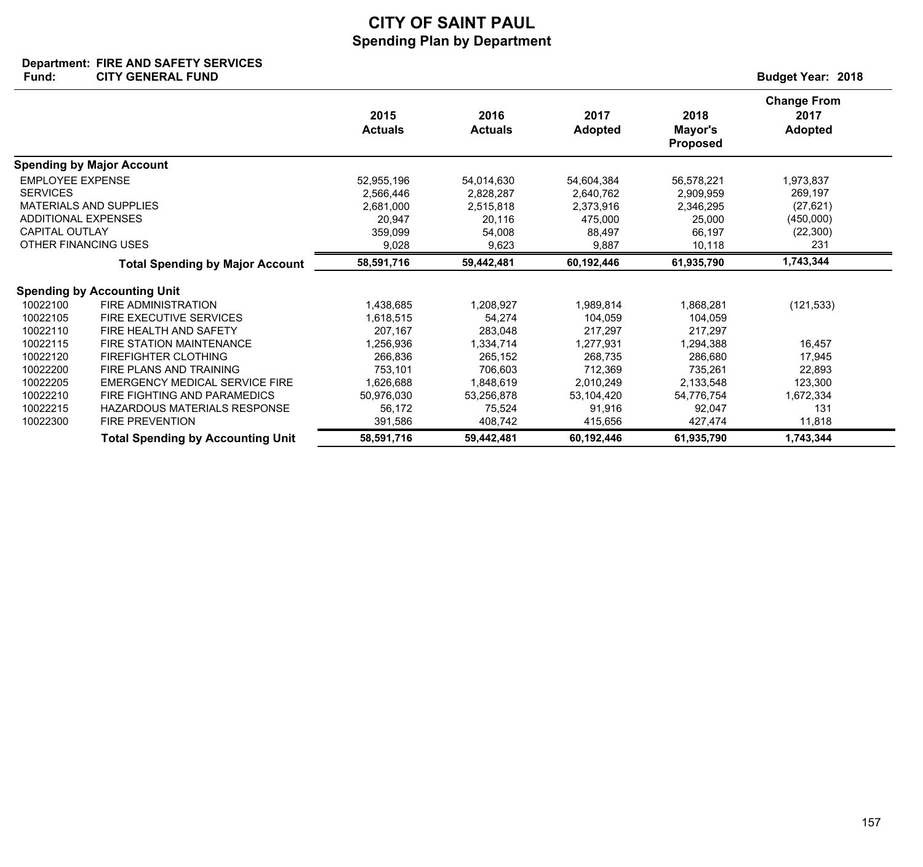## **Department: FIRE AND SAFETY SERVICES**

| Fund:                                                                                      | <b>CITY GENERAL FUND</b>                                                               |                                                                    |                                                                   |                                                                    |                                                                    | <b>Budget Year: 2018</b>                                           |
|--------------------------------------------------------------------------------------------|----------------------------------------------------------------------------------------|--------------------------------------------------------------------|-------------------------------------------------------------------|--------------------------------------------------------------------|--------------------------------------------------------------------|--------------------------------------------------------------------|
|                                                                                            |                                                                                        | 2015<br><b>Actuals</b>                                             | 2016<br><b>Actuals</b>                                            | 2017<br><b>Adopted</b>                                             | 2018<br>Mayor's<br><b>Proposed</b>                                 | <b>Change From</b><br>2017<br><b>Adopted</b>                       |
|                                                                                            | <b>Spending by Major Account</b>                                                       |                                                                    |                                                                   |                                                                    |                                                                    |                                                                    |
| <b>EMPLOYEE EXPENSE</b><br><b>SERVICES</b><br>ADDITIONAL EXPENSES<br><b>CAPITAL OUTLAY</b> | <b>MATERIALS AND SUPPLIES</b><br>OTHER FINANCING USES                                  | 52,955,196<br>2,566,446<br>2,681,000<br>20,947<br>359,099<br>9,028 | 54,014,630<br>2,828,287<br>2,515,818<br>20,116<br>54,008<br>9,623 | 54,604,384<br>2,640,762<br>2,373,916<br>475,000<br>88,497<br>9,887 | 56,578,221<br>2,909,959<br>2,346,295<br>25,000<br>66,197<br>10,118 | 1,973,837<br>269,197<br>(27, 621)<br>(450,000)<br>(22, 300)<br>231 |
|                                                                                            | <b>Total Spending by Major Account</b>                                                 | 58,591,716                                                         | 59,442,481                                                        | 60,192,446                                                         | 61,935,790                                                         | 1,743,344                                                          |
|                                                                                            | <b>Spending by Accounting Unit</b>                                                     |                                                                    |                                                                   |                                                                    |                                                                    |                                                                    |
| 10022100<br>10022105<br>10022110                                                           | <b>FIRE ADMINISTRATION</b><br><b>FIRE EXECUTIVE SERVICES</b><br>FIRE HEALTH AND SAFETY | 1,438,685<br>1,618,515<br>207.167                                  | 1,208,927<br>54,274<br>283,048                                    | 1,989,814<br>104,059<br>217.297                                    | 1,868,281<br>104,059<br>217.297                                    | (121, 533)                                                         |
| 10022115                                                                                   | <b>FIRE STATION MAINTENANCE</b>                                                        | 1,256,936                                                          | 1,334,714                                                         | 1,277,931                                                          | 1,294,388                                                          | 16.457                                                             |
| 10022120<br>10022200                                                                       | <b>FIREFIGHTER CLOTHING</b><br>FIRE PLANS AND TRAINING                                 | 266.836<br>753,101                                                 | 265.152<br>706,603                                                | 268.735<br>712,369                                                 | 286,680<br>735,261                                                 | 17.945<br>22,893                                                   |
| 10022205<br>10022210                                                                       | <b>EMERGENCY MEDICAL SERVICE FIRE</b><br>FIRE FIGHTING AND PARAMEDICS                  | 1,626,688<br>50,976,030                                            | 1,848,619<br>53,256,878                                           | 2,010,249<br>53,104,420                                            | 2,133,548<br>54,776,754                                            | 123,300<br>1,672,334                                               |
| 10022215<br>10022300                                                                       | HAZARDOUS MATERIALS RESPONSE<br><b>FIRE PREVENTION</b>                                 | 56,172<br>391,586                                                  | 75,524<br>408,742                                                 | 91,916<br>415,656                                                  | 92,047<br>427,474                                                  | 131<br>11,818                                                      |
|                                                                                            | <b>Total Spending by Accounting Unit</b>                                               | 58,591,716                                                         | 59,442,481                                                        | 60,192,446                                                         | 61,935,790                                                         | 1,743,344                                                          |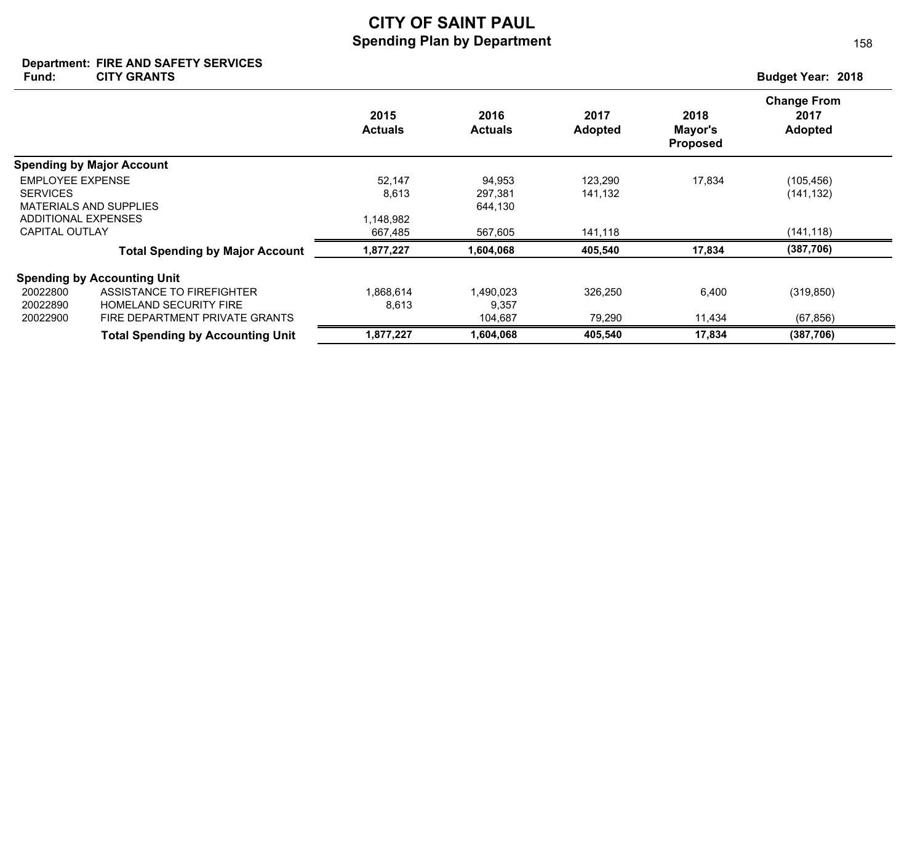#### **Department: FIRE AND SAFETY SERVICES**

**Fund: Budget Year: 2018 CITY GRANTS**

158

|                         |                                          | 2015<br><b>Actuals</b> | 2016<br><b>Actuals</b> | 2017<br><b>Adopted</b> | 2018<br>Mayor's<br><b>Proposed</b> | <b>Change From</b><br>2017<br><b>Adopted</b> |
|-------------------------|------------------------------------------|------------------------|------------------------|------------------------|------------------------------------|----------------------------------------------|
|                         | <b>Spending by Major Account</b>         |                        |                        |                        |                                    |                                              |
| <b>EMPLOYEE EXPENSE</b> |                                          | 52,147                 | 94,953                 | 123,290                | 17,834                             | (105, 456)                                   |
| <b>SERVICES</b>         |                                          | 8,613                  | 297,381                | 141,132                |                                    | (141, 132)                                   |
|                         | <b>MATERIALS AND SUPPLIES</b>            |                        | 644,130                |                        |                                    |                                              |
|                         | ADDITIONAL EXPENSES                      | 1,148,982              |                        |                        |                                    |                                              |
| CAPITAL OUTLAY          |                                          | 667,485                | 567,605                | 141,118                |                                    | (141, 118)                                   |
|                         | <b>Total Spending by Major Account</b>   | 1,877,227              | 1,604,068              | 405,540                | 17,834                             | (387, 706)                                   |
|                         | <b>Spending by Accounting Unit</b>       |                        |                        |                        |                                    |                                              |
| 20022800                | ASSISTANCE TO FIREFIGHTER                | 1.868.614              | 1,490,023              | 326,250                | 6,400                              | (319, 850)                                   |
| 20022890                | <b>HOMELAND SECURITY FIRE</b>            | 8,613                  | 9,357                  |                        |                                    |                                              |
| 20022900                | FIRE DEPARTMENT PRIVATE GRANTS           |                        | 104,687                | 79,290                 | 11,434                             | (67, 856)                                    |
|                         | <b>Total Spending by Accounting Unit</b> | 1,877,227              | 1,604,068              | 405,540                | 17,834                             | (387, 706)                                   |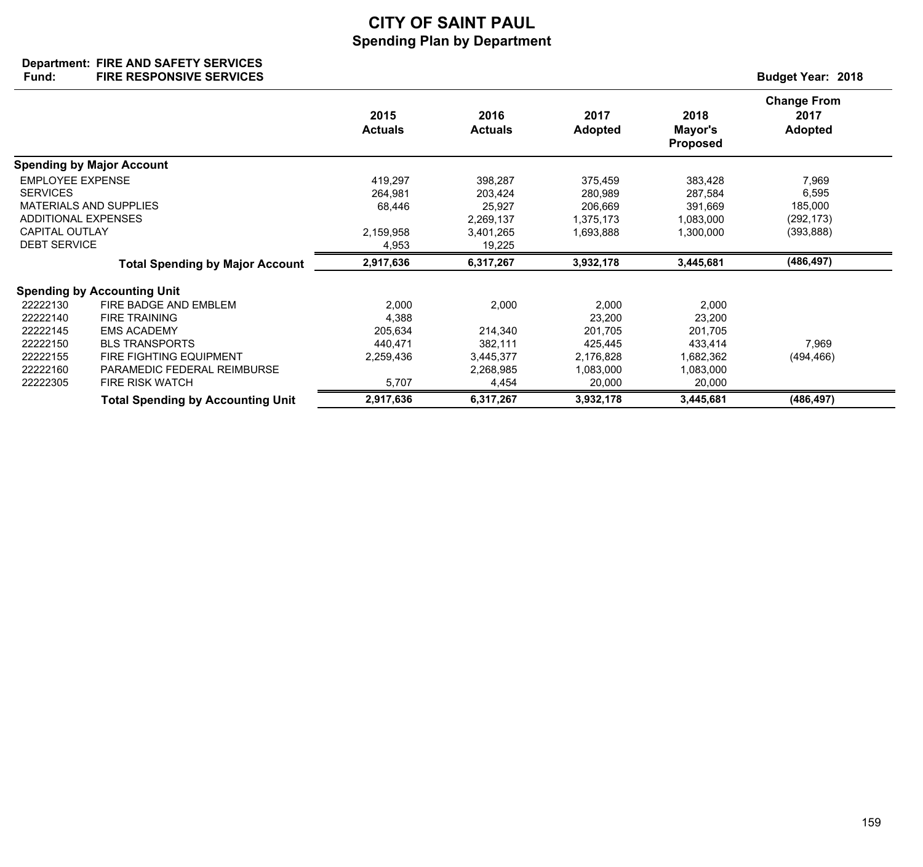#### **Department: Fund: Budget Year: 2018 FIRE AND SAFETY SERVICES FIRE RESPONSIVE SERVICES**

|                                                                                  |                                                                                                                                                                                         | 2015<br><b>Actuals</b>                                     | 2016<br><b>Actuals</b>                                         | 2017<br><b>Adopted</b>                                                    | 2018<br>Mayor's<br><b>Proposed</b>                                        | <b>Change From</b><br>2017<br><b>Adopted</b> |
|----------------------------------------------------------------------------------|-----------------------------------------------------------------------------------------------------------------------------------------------------------------------------------------|------------------------------------------------------------|----------------------------------------------------------------|---------------------------------------------------------------------------|---------------------------------------------------------------------------|----------------------------------------------|
|                                                                                  | <b>Spending by Major Account</b>                                                                                                                                                        |                                                            |                                                                |                                                                           |                                                                           |                                              |
| <b>EMPLOYEE EXPENSE</b><br><b>SERVICES</b><br><b>ADDITIONAL EXPENSES</b>         | <b>MATERIALS AND SUPPLIES</b>                                                                                                                                                           | 419,297<br>264,981<br>68,446                               | 398,287<br>203,424<br>25,927<br>2,269,137                      | 375,459<br>280,989<br>206,669<br>1,375,173                                | 383,428<br>287,584<br>391,669<br>1,083,000                                | 7,969<br>6,595<br>185,000<br>(292, 173)      |
| <b>CAPITAL OUTLAY</b><br><b>DEBT SERVICE</b>                                     |                                                                                                                                                                                         | 2,159,958<br>4,953                                         | 3,401,265<br>19,225                                            | 1,693,888                                                                 | 1,300,000                                                                 | (393,888)                                    |
|                                                                                  | <b>Total Spending by Major Account</b>                                                                                                                                                  | 2,917,636                                                  | 6,317,267                                                      | 3,932,178                                                                 | 3,445,681                                                                 | (486, 497)                                   |
|                                                                                  | <b>Spending by Accounting Unit</b>                                                                                                                                                      |                                                            |                                                                |                                                                           |                                                                           |                                              |
| 22222130<br>22222140<br>22222145<br>22222150<br>22222155<br>22222160<br>22222305 | FIRE BADGE AND EMBLEM<br><b>FIRE TRAINING</b><br><b>EMS ACADEMY</b><br><b>BLS TRANSPORTS</b><br><b>FIRE FIGHTING EQUIPMENT</b><br>PARAMEDIC FEDERAL REIMBURSE<br><b>FIRE RISK WATCH</b> | 2,000<br>4,388<br>205,634<br>440,471<br>2,259,436<br>5,707 | 2,000<br>214,340<br>382,111<br>3,445,377<br>2,268,985<br>4,454 | 2,000<br>23,200<br>201,705<br>425,445<br>2,176,828<br>1,083,000<br>20,000 | 2,000<br>23,200<br>201,705<br>433,414<br>1,682,362<br>1,083,000<br>20,000 | 7,969<br>(494, 466)                          |
|                                                                                  | <b>Total Spending by Accounting Unit</b>                                                                                                                                                | 2,917,636                                                  | 6,317,267                                                      | 3,932,178                                                                 | 3,445,681                                                                 | (486, 497)                                   |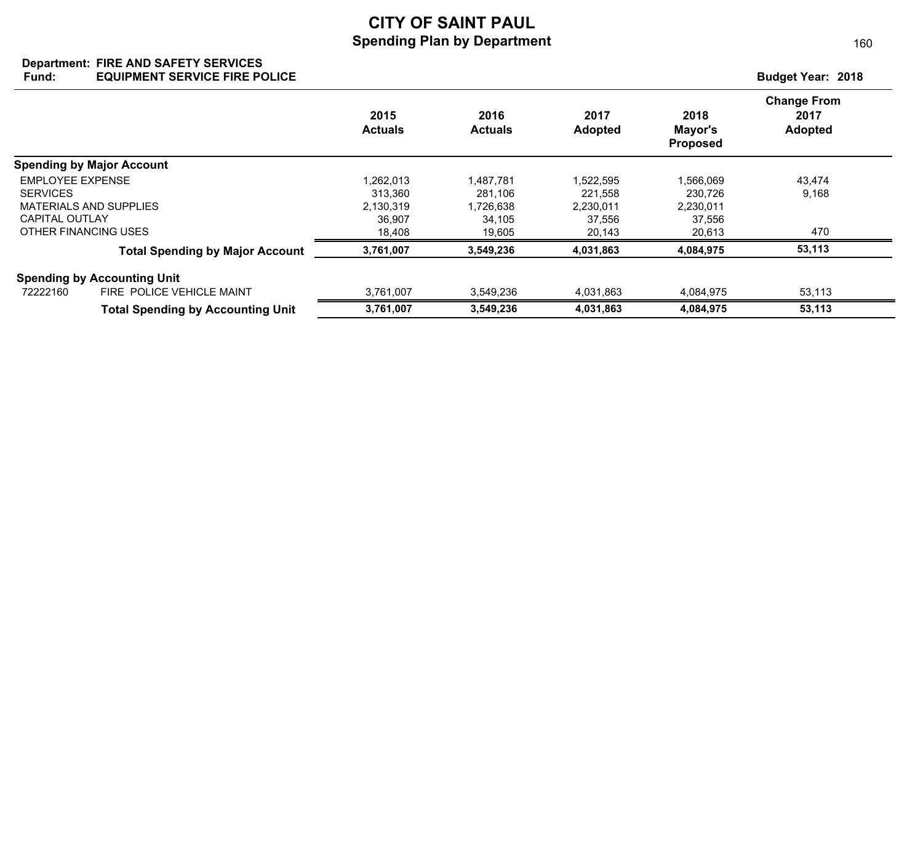#### **Department: FIRE AND SAFETY SERVICES Fund: Budget Year: 2018 EQUIPMENT SERVICE FIRE POLICE**

|                         |                                          | 2015<br><b>Actuals</b> | 2016<br><b>Actuals</b> | 2017<br><b>Adopted</b> | 2018<br>Mayor's<br><b>Proposed</b> | <b>Change From</b><br>2017<br>Adopted |
|-------------------------|------------------------------------------|------------------------|------------------------|------------------------|------------------------------------|---------------------------------------|
|                         | <b>Spending by Major Account</b>         |                        |                        |                        |                                    |                                       |
| <b>EMPLOYEE EXPENSE</b> |                                          | 1,262,013              | 1,487,781              | 1,522,595              | 1,566,069                          | 43,474                                |
| <b>SERVICES</b>         |                                          | 313.360                | 281.106                | 221.558                | 230.726                            | 9,168                                 |
|                         | <b>MATERIALS AND SUPPLIES</b>            | 2,130,319              | 1,726,638              | 2,230,011              | 2,230,011                          |                                       |
| CAPITAL OUTLAY          |                                          | 36,907                 | 34,105                 | 37,556                 | 37,556                             |                                       |
| OTHER FINANCING USES    |                                          | 18,408                 | 19,605                 | 20,143                 | 20,613                             | 470                                   |
|                         | <b>Total Spending by Major Account</b>   | 3,761,007              | 3,549,236              | 4,031,863              | 4,084,975                          | 53,113                                |
|                         | <b>Spending by Accounting Unit</b>       |                        |                        |                        |                                    |                                       |
| 72222160                | FIRE POLICE VEHICLE MAINT                | 3,761,007              | 3,549,236              | 4,031,863              | 4,084,975                          | 53,113                                |
|                         | <b>Total Spending by Accounting Unit</b> | 3,761,007              | 3,549,236              | 4,031,863              | 4,084,975                          | 53,113                                |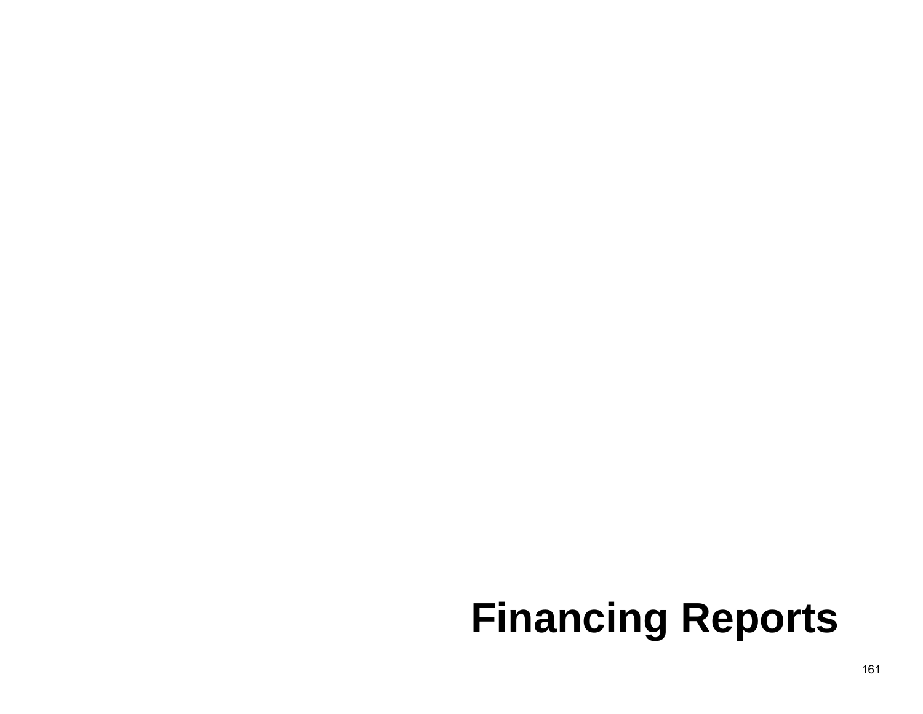# **Financing Reports**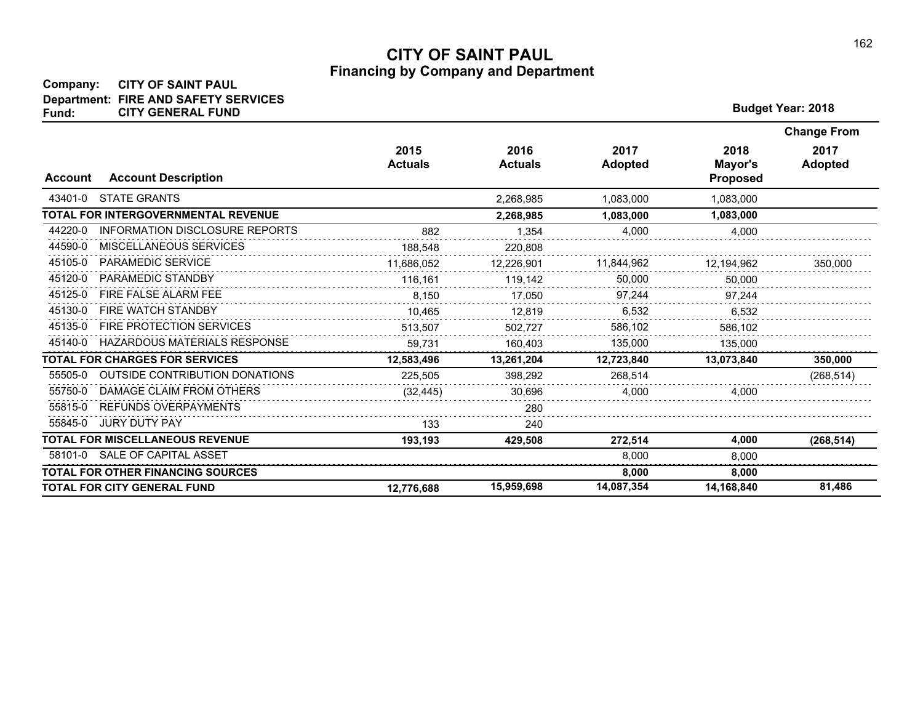## **Company: CITY OF SAINT PAUL Department: FIRE AND SAFETY SERVICES Fund: CITY GENERAL FUND <sup>2018</sup>**

| <b>Budget Year: 2018</b> |  |
|--------------------------|--|
|--------------------------|--|

|                |                                          |                        |                        |                        |                                    | <b>Change From</b>     |
|----------------|------------------------------------------|------------------------|------------------------|------------------------|------------------------------------|------------------------|
| <b>Account</b> | <b>Account Description</b>               | 2015<br><b>Actuals</b> | 2016<br><b>Actuals</b> | 2017<br><b>Adopted</b> | 2018<br>Mayor's<br><b>Proposed</b> | 2017<br><b>Adopted</b> |
| 43401-0        | <b>STATE GRANTS</b>                      |                        | 2,268,985              | 1,083,000              | 1.083.000                          |                        |
|                | TOTAL FOR INTERGOVERNMENTAL REVENUE      |                        | 2,268,985              | 1,083,000              | 1,083,000                          |                        |
| 44220-0        | <b>INFORMATION DISCLOSURE REPORTS</b>    | 882                    | 1.354                  | 4.000                  | 4.000                              |                        |
| 44590-0        | MISCELLANEOUS SERVICES                   | 188,548                | 220,808                |                        |                                    |                        |
| 45105-0        | PARAMEDIC SERVICE                        | 11,686,052             | 12,226,901             | 11,844,962             | 12,194,962                         | 350,000                |
| 45120-0        | PARAMEDIC STANDBY                        | 116,161                | 119,142                | 50,000                 | 50,000                             |                        |
| 45125-0        | FIRE FALSE ALARM FEE                     | 8.150                  | 17,050                 | 97,244                 | 97,244                             |                        |
| 45130-0        | <b>FIRE WATCH STANDBY</b>                | 10.465                 | 12.819                 | 6.532                  | 6.532                              |                        |
| 45135-0        | <b>FIRE PROTECTION SERVICES</b>          | 513,507                | 502,727                | 586,102                | 586,102                            |                        |
| 45140-0        | <b>HAZARDOUS MATERIALS RESPONSE</b>      | 59.731                 | 160.403                | 135,000                | 135.000                            |                        |
|                | <b>TOTAL FOR CHARGES FOR SERVICES</b>    | 12,583,496             | 13,261,204             | 12,723,840             | 13,073,840                         | 350,000                |
| 55505-0        | <b>OUTSIDE CONTRIBUTION DONATIONS</b>    | 225,505                | 398,292                | 268.514                |                                    | (268, 514)             |
| 55750-0        | DAMAGE CLAIM FROM OTHERS                 | (32, 445)              | 30,696                 | 4,000                  | 4,000                              |                        |
| 55815-0        | <b>REFUNDS OVERPAYMENTS</b>              |                        | 280                    |                        |                                    |                        |
| 55845-0        | <b>JURY DUTY PAY</b>                     | 133                    | 240                    |                        |                                    |                        |
|                | <b>TOTAL FOR MISCELLANEOUS REVENUE</b>   | 193,193                | 429,508                | 272,514                | 4,000                              | (268, 514)             |
| 58101-0        | SALE OF CAPITAL ASSET                    |                        |                        | 8,000                  | 8,000                              |                        |
|                | <b>TOTAL FOR OTHER FINANCING SOURCES</b> |                        |                        | 8.000                  | 8.000                              |                        |
|                | <b>TOTAL FOR CITY GENERAL FUND</b>       | 12.776.688             | 15,959,698             | 14,087,354             | 14.168.840                         | 81,486                 |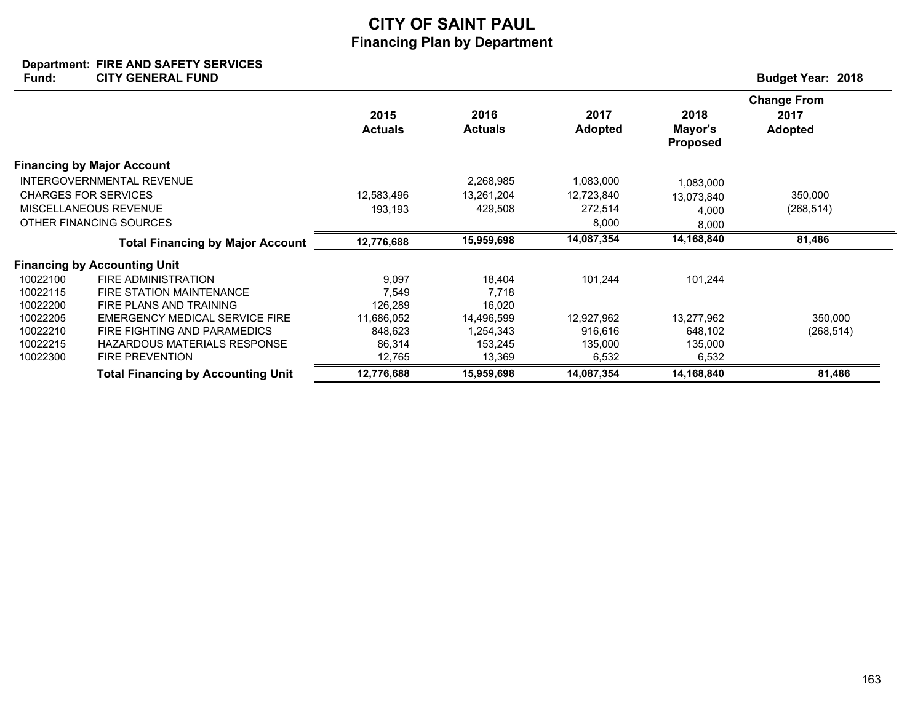### **Department: FIRE AND SAFETY SERVICES Fund: Budget Year: 2018 CITY GENERAL FUND**

|          |                                           | 2015<br><b>Actuals</b> | 2016<br><b>Actuals</b> | 2017<br><b>Adopted</b> | 2018<br>Mayor's<br><b>Proposed</b> | <b>Change From</b><br>2017<br><b>Adopted</b> |
|----------|-------------------------------------------|------------------------|------------------------|------------------------|------------------------------------|----------------------------------------------|
|          | <b>Financing by Major Account</b>         |                        |                        |                        |                                    |                                              |
|          | INTERGOVERNMENTAL REVENUE                 |                        | 2,268,985              | 1,083,000              | 1,083,000                          |                                              |
|          | <b>CHARGES FOR SERVICES</b>               | 12,583,496             | 13,261,204             | 12,723,840             | 13.073.840                         | 350,000                                      |
|          | MISCELLANEOUS REVENUE                     | 193.193                | 429,508                | 272,514                | 4,000                              | (268, 514)                                   |
|          | OTHER FINANCING SOURCES                   |                        |                        | 8,000                  | 8,000                              |                                              |
|          | <b>Total Financing by Major Account</b>   | 12,776,688             | 15,959,698             | 14,087,354             | 14,168,840                         | 81,486                                       |
|          | <b>Financing by Accounting Unit</b>       |                        |                        |                        |                                    |                                              |
| 10022100 | <b>FIRE ADMINISTRATION</b>                | 9,097                  | 18,404                 | 101,244                | 101,244                            |                                              |
| 10022115 | <b>FIRE STATION MAINTENANCE</b>           | 7,549                  | 7,718                  |                        |                                    |                                              |
| 10022200 | FIRE PLANS AND TRAINING                   | 126,289                | 16,020                 |                        |                                    |                                              |
| 10022205 | EMERGENCY MEDICAL SERVICE FIRE            | 11,686,052             | 14,496,599             | 12,927,962             | 13,277,962                         | 350,000                                      |
| 10022210 | FIRE FIGHTING AND PARAMEDICS              | 848,623                | 1,254,343              | 916,616                | 648,102                            | (268, 514)                                   |
| 10022215 | <b>HAZARDOUS MATERIALS RESPONSE</b>       | 86,314                 | 153,245                | 135,000                | 135,000                            |                                              |
| 10022300 | <b>FIRE PREVENTION</b>                    | 12,765                 | 13,369                 | 6,532                  | 6,532                              |                                              |
|          | <b>Total Financing by Accounting Unit</b> | 12,776,688             | 15,959,698             | 14,087,354             | 14,168,840                         | 81,486                                       |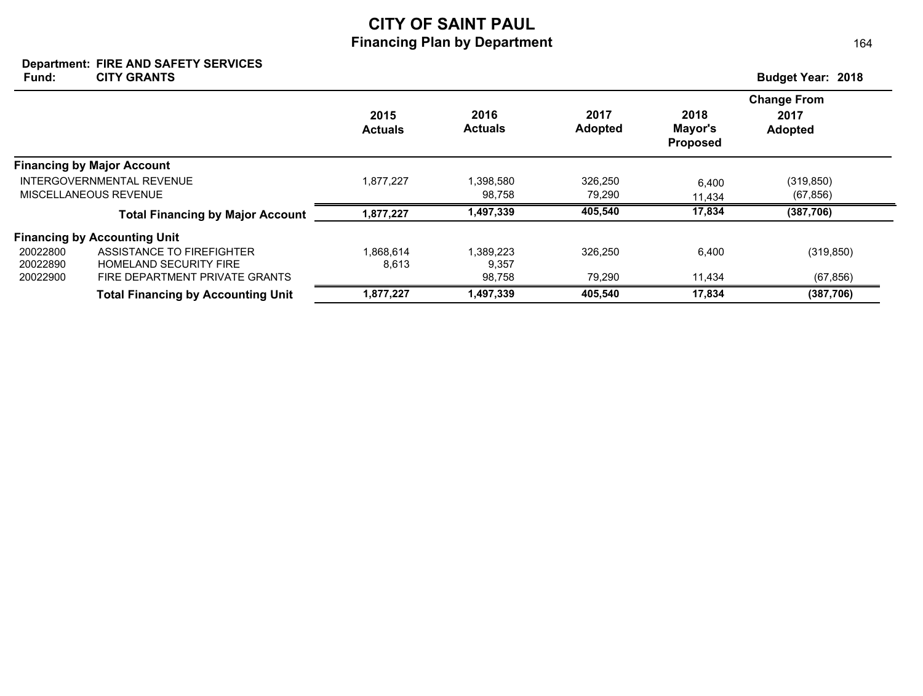#### **Department: FIRE AND SAFETY SERVICES** Fund: CITY GRANTS **Budget Year: 2018 CITY GRANTS**

|                           |                                           |                        |                        |                        |                                    | <b>Change From</b>     |
|---------------------------|-------------------------------------------|------------------------|------------------------|------------------------|------------------------------------|------------------------|
|                           |                                           | 2015<br><b>Actuals</b> | 2016<br><b>Actuals</b> | 2017<br><b>Adopted</b> | 2018<br>Mayor's<br><b>Proposed</b> | 2017<br><b>Adopted</b> |
|                           | <b>Financing by Major Account</b>         |                        |                        |                        |                                    |                        |
| INTERGOVERNMENTAL REVENUE |                                           | 1,877,227              | 1.398.580              | 326,250                | 6.400                              | (319, 850)             |
|                           | MISCELLANEOUS REVENUE                     |                        | 98.758                 | 79,290                 | 11.434                             | (67, 856)              |
|                           | <b>Total Financing by Major Account</b>   | 1,877,227              | 1,497,339              | 405,540                | 17,834                             | (387, 706)             |
|                           | <b>Financing by Accounting Unit</b>       |                        |                        |                        |                                    |                        |
| 20022800                  | ASSISTANCE TO FIREFIGHTER                 | 1.868.614              | 1.389.223              | 326.250                | 6,400                              | (319, 850)             |
| 20022890                  | <b>HOMELAND SECURITY FIRE</b>             | 8,613                  | 9,357                  |                        |                                    |                        |
| 20022900                  | FIRE DEPARTMENT PRIVATE GRANTS            |                        | 98,758                 | 79,290                 | 11,434                             | (67, 856)              |
|                           | <b>Total Financing by Accounting Unit</b> | 1,877,227              | 1,497,339              | 405.540                | 17.834                             | (387, 706)             |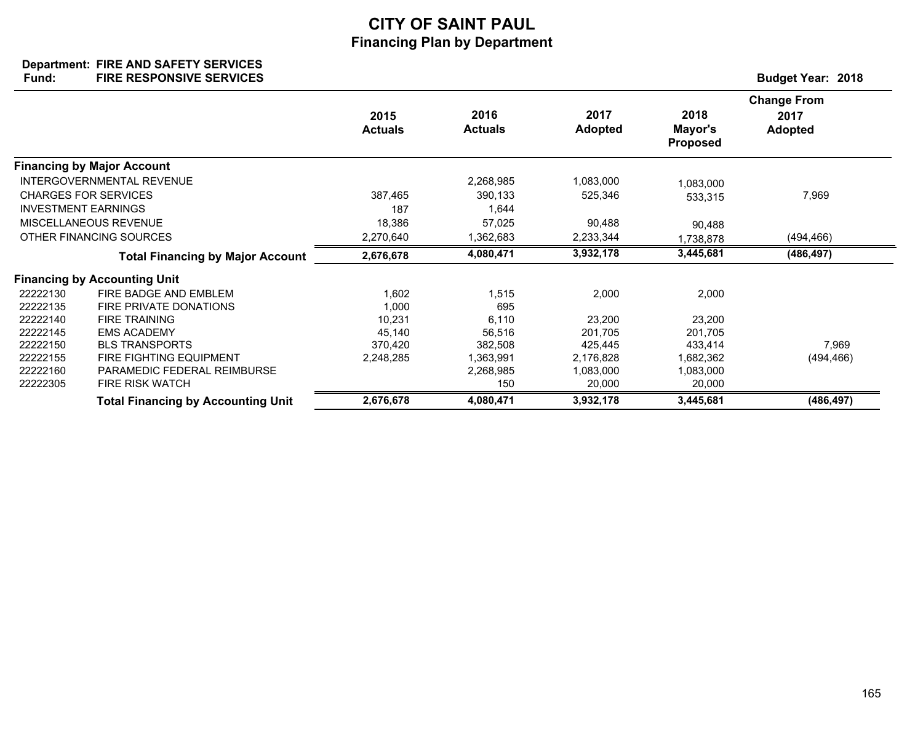#### **Department: Fund: Budget Year: 2018 FIRE AND SAFETY SERVICES FIRE RESPONSIVE SERVICES**

|          |                                           | 2015<br><b>Actuals</b> | 2016<br><b>Actuals</b> | 2017<br><b>Adopted</b> | 2018<br>Mayor's<br><b>Proposed</b> | <b>Change From</b><br>2017<br><b>Adopted</b> |
|----------|-------------------------------------------|------------------------|------------------------|------------------------|------------------------------------|----------------------------------------------|
|          | <b>Financing by Major Account</b>         |                        |                        |                        |                                    |                                              |
|          | INTERGOVERNMENTAL REVENUE                 |                        | 2,268,985              | 1,083,000              | 1,083,000                          |                                              |
|          | <b>CHARGES FOR SERVICES</b>               | 387,465                | 390,133                | 525,346                | 533,315                            | 7,969                                        |
|          | <b>INVESTMENT EARNINGS</b>                | 187                    | 1,644                  |                        |                                    |                                              |
|          | MISCELLANEOUS REVENUE                     | 18,386                 | 57,025                 | 90,488                 | 90,488                             |                                              |
|          | OTHER FINANCING SOURCES                   | 2,270,640              | 1,362,683              | 2,233,344              | 1,738,878                          | (494, 466)                                   |
|          | <b>Total Financing by Major Account</b>   | 2,676,678              | 4,080,471              | 3,932,178              | 3,445,681                          | (486, 497)                                   |
|          | <b>Financing by Accounting Unit</b>       |                        |                        |                        |                                    |                                              |
| 22222130 | FIRE BADGE AND EMBLEM                     | 1,602                  | 1,515                  | 2,000                  | 2,000                              |                                              |
| 22222135 | FIRE PRIVATE DONATIONS                    | 1,000                  | 695                    |                        |                                    |                                              |
| 22222140 | <b>FIRE TRAINING</b>                      | 10,231                 | 6,110                  | 23,200                 | 23,200                             |                                              |
| 22222145 | <b>EMS ACADEMY</b>                        | 45,140                 | 56,516                 | 201,705                | 201,705                            |                                              |
| 22222150 | <b>BLS TRANSPORTS</b>                     | 370,420                | 382,508                | 425,445                | 433,414                            | 7,969                                        |
| 22222155 | FIRE FIGHTING EQUIPMENT                   | 2,248,285              | 1,363,991              | 2,176,828              | 1,682,362                          | (494, 466)                                   |
| 22222160 | PARAMEDIC FEDERAL REIMBURSE               |                        | 2,268,985              | 1,083,000              | 1,083,000                          |                                              |
| 22222305 | <b>FIRE RISK WATCH</b>                    |                        | 150                    | 20,000                 | 20,000                             |                                              |
|          | <b>Total Financing by Accounting Unit</b> | 2,676,678              | 4,080,471              | 3,932,178              | 3,445,681                          | (486, 497)                                   |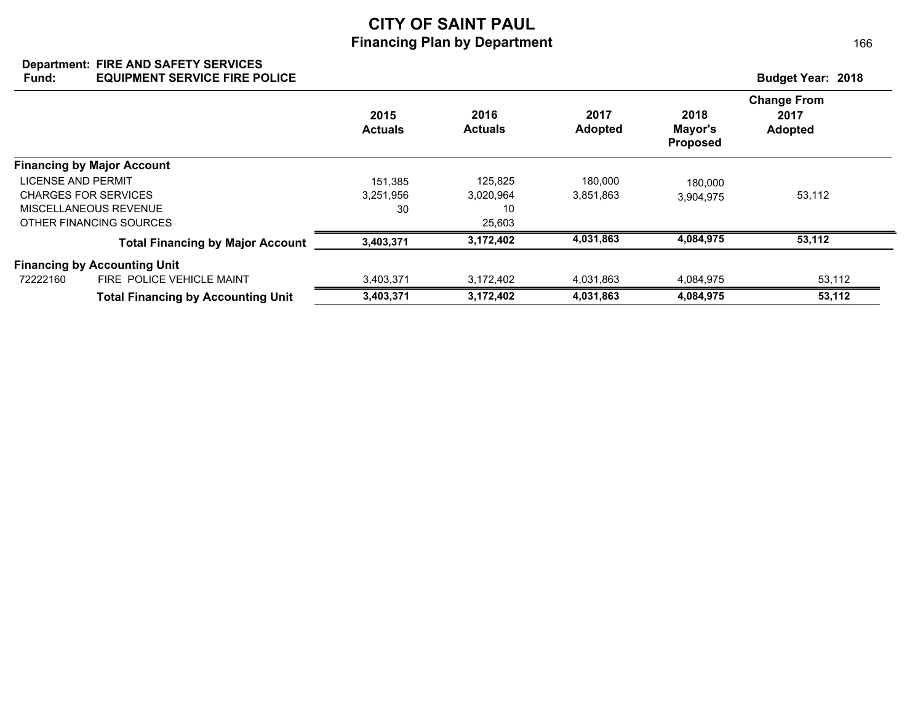### **Department: FIRE AND SAFETY SERVICES Fund: Budget Year: 2018 EQUIPMENT SERVICE FIRE POLICE**

|                                           |                        |                        |                        |                                    | <b>Change From</b>     |
|-------------------------------------------|------------------------|------------------------|------------------------|------------------------------------|------------------------|
|                                           | 2015<br><b>Actuals</b> | 2016<br><b>Actuals</b> | 2017<br><b>Adopted</b> | 2018<br>Mayor's<br><b>Proposed</b> | 2017<br><b>Adopted</b> |
| <b>Financing by Major Account</b>         |                        |                        |                        |                                    |                        |
| LICENSE AND PERMIT                        | 151.385                | 125,825                | 180,000                | 180,000                            |                        |
| CHARGES FOR SERVICES                      | 3.251.956              | 3,020,964              | 3,851,863              | 3,904,975                          | 53,112                 |
| MISCELLANEOUS REVENUE                     | 30                     | 10                     |                        |                                    |                        |
| OTHER FINANCING SOURCES                   |                        | 25,603                 |                        |                                    |                        |
| <b>Total Financing by Major Account</b>   | 3,403,371              | 3,172,402              | 4,031,863              | 4,084,975                          | 53,112                 |
| <b>Financing by Accounting Unit</b>       |                        |                        |                        |                                    |                        |
| FIRE POLICE VEHICLE MAINT<br>72222160     | 3,403,371              | 3,172,402              | 4,031,863              | 4.084.975                          | 53,112                 |
| <b>Total Financing by Accounting Unit</b> | 3,403,371              | 3,172,402              | 4,031,863              | 4,084,975                          | 53,112                 |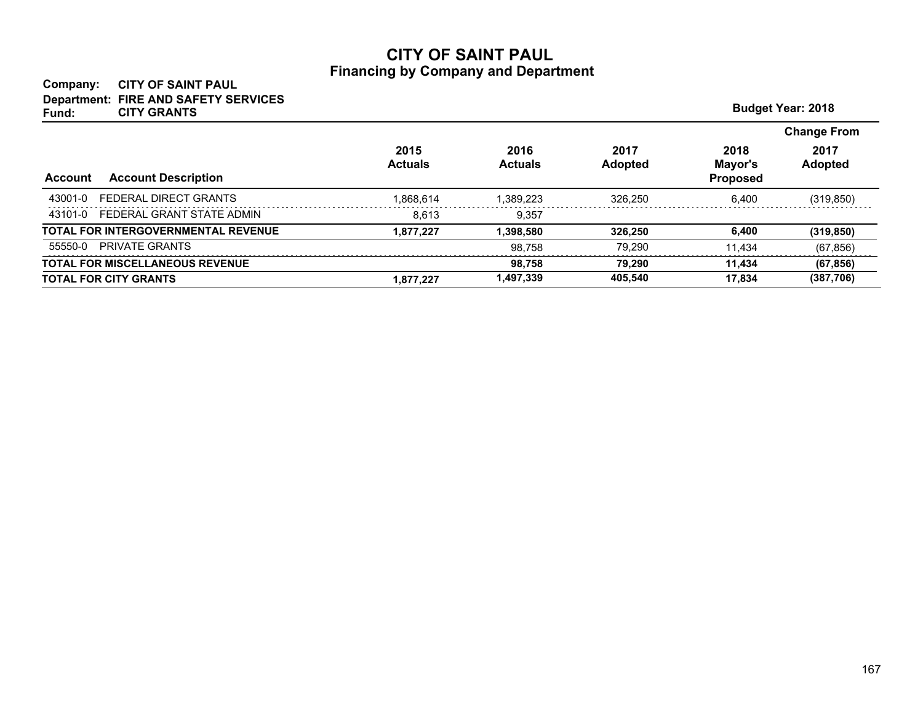## **Company: CITY OF SAINT PAUL Department: FIRE AND SAFETY SERVICES**

| <b>CITY GRANTS</b><br>Fund:                  |                        |                        |                        |                                    | <b>Budget Year: 2018</b> |
|----------------------------------------------|------------------------|------------------------|------------------------|------------------------------------|--------------------------|
|                                              |                        |                        |                        |                                    | <b>Change From</b>       |
| <b>Account Description</b><br><b>Account</b> | 2015<br><b>Actuals</b> | 2016<br><b>Actuals</b> | 2017<br><b>Adopted</b> | 2018<br>Mayor's<br><b>Proposed</b> | 2017<br><b>Adopted</b>   |
| FEDERAL DIRECT GRANTS<br>43001-0             | 1.868.614              | 1.389.223              | 326.250                | 6.400                              | (319, 850)               |
| 43101-0 FEDERAL GRANT STATE ADMIN            | 8.613                  | 9,357                  |                        |                                    |                          |
| TOTAL FOR INTERGOVERNMENTAL REVENUE          | 1.877.227              | 1.398.580              | 326.250                | 6,400                              | (319, 850)               |
| <b>PRIVATE GRANTS</b><br>55550-0             |                        | 98.758                 | 79.290                 | 11.434                             | (67, 856)                |
| <b>TOTAL FOR MISCELLANEOUS REVENUE</b>       |                        | 98.758                 | 79.290                 | 11,434                             | (67, 856)                |
| <b>TOTAL FOR CITY GRANTS</b>                 | 1.877.227              | 1,497,339              | 405,540                | 17.834                             | (387,706)                |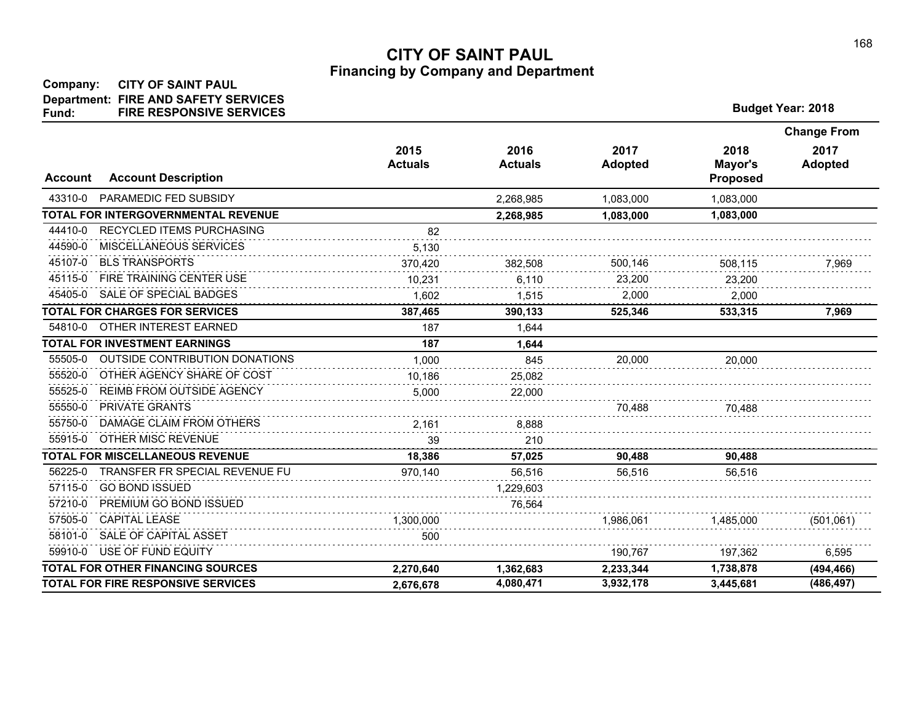| <b>Budget Year: 2018</b> |  |
|--------------------------|--|
|--------------------------|--|

|                |                                           |                        |                        |                        |                                    | <b>Change From</b>     |
|----------------|-------------------------------------------|------------------------|------------------------|------------------------|------------------------------------|------------------------|
| <b>Account</b> | <b>Account Description</b>                | 2015<br><b>Actuals</b> | 2016<br><b>Actuals</b> | 2017<br><b>Adopted</b> | 2018<br>Mayor's<br><b>Proposed</b> | 2017<br><b>Adopted</b> |
| 43310-0        | PARAMEDIC FED SUBSIDY                     |                        | 2,268,985              | 1,083,000              | 1,083,000                          |                        |
|                | TOTAL FOR INTERGOVERNMENTAL REVENUE       |                        | 2,268,985              | 1,083,000              | 1,083,000                          |                        |
| 44410-0        | <b>RECYCLED ITEMS PURCHASING</b>          | 82                     |                        |                        |                                    |                        |
| 44590-0        | MISCELLANEOUS SERVICES                    | 5,130                  |                        |                        |                                    |                        |
| 45107-0        | <b>BLS TRANSPORTS</b>                     | 370,420                | 382,508                | 500,146                | 508,115                            | 7,969                  |
| 45115-0        | FIRE TRAINING CENTER USE                  | 10.231                 | 6.110                  | 23,200                 | 23.200                             |                        |
| 45405-0        | SALE OF SPECIAL BADGES                    | 1,602                  | 1,515                  | 2.000                  | 2,000                              |                        |
|                | <b>TOTAL FOR CHARGES FOR SERVICES</b>     | 387,465                | 390,133                | 525,346                | 533,315                            | 7,969                  |
| 54810-0        | OTHER INTEREST EARNED                     | 187                    | 1,644                  |                        |                                    |                        |
|                | <b>TOTAL FOR INVESTMENT EARNINGS</b>      | 187                    | 1.644                  |                        |                                    |                        |
| 55505-0        | <b>OUTSIDE CONTRIBUTION DONATIONS</b>     | 1,000                  | 845                    | 20,000                 | 20,000                             |                        |
| 55520-0        | OTHER AGENCY SHARE OF COST                | 10,186                 | 25,082                 |                        |                                    |                        |
| 55525-0        | REIMB FROM OUTSIDE AGENCY                 | 5,000                  | 22,000                 |                        |                                    |                        |
| 55550-0        | <b>PRIVATE GRANTS</b>                     |                        |                        | 70,488                 | 70,488                             |                        |
| 55750-0        | DAMAGE CLAIM FROM OTHERS                  | 2.161                  | 8.888                  |                        |                                    |                        |
| 55915-0        | OTHER MISC REVENUE                        | 39                     | 210                    |                        |                                    |                        |
|                | <b>TOTAL FOR MISCELLANEOUS REVENUE</b>    | 18,386                 | 57,025                 | 90,488                 | 90,488                             |                        |
| 56225-0        | TRANSFER FR SPECIAL REVENUE FU            | 970,140                | 56,516                 | 56,516                 | 56,516                             |                        |
| 57115-0        | <b>GO BOND ISSUED</b>                     |                        | 1,229,603              |                        |                                    |                        |
| 57210-0        | PREMIUM GO BOND ISSUED                    |                        | 76,564                 |                        |                                    |                        |
| 57505-0        | <b>CAPITAL LEASE</b>                      | 1,300,000              |                        | 1,986,061              | 1,485,000                          | (501,061)              |
| 58101-0        | SALE OF CAPITAL ASSET                     | 500                    |                        |                        |                                    |                        |
| 59910-0        | USE OF FUND EQUITY                        |                        |                        | 190.767                | 197,362                            | 6,595                  |
|                | TOTAL FOR OTHER FINANCING SOURCES         | 2,270,640              | 1,362,683              | 2,233,344              | 1,738,878                          | (494, 466)             |
|                | <b>TOTAL FOR FIRE RESPONSIVE SERVICES</b> | 2,676,678              | 4,080,471              | 3,932,178              | 3,445,681                          | (486, 497)             |